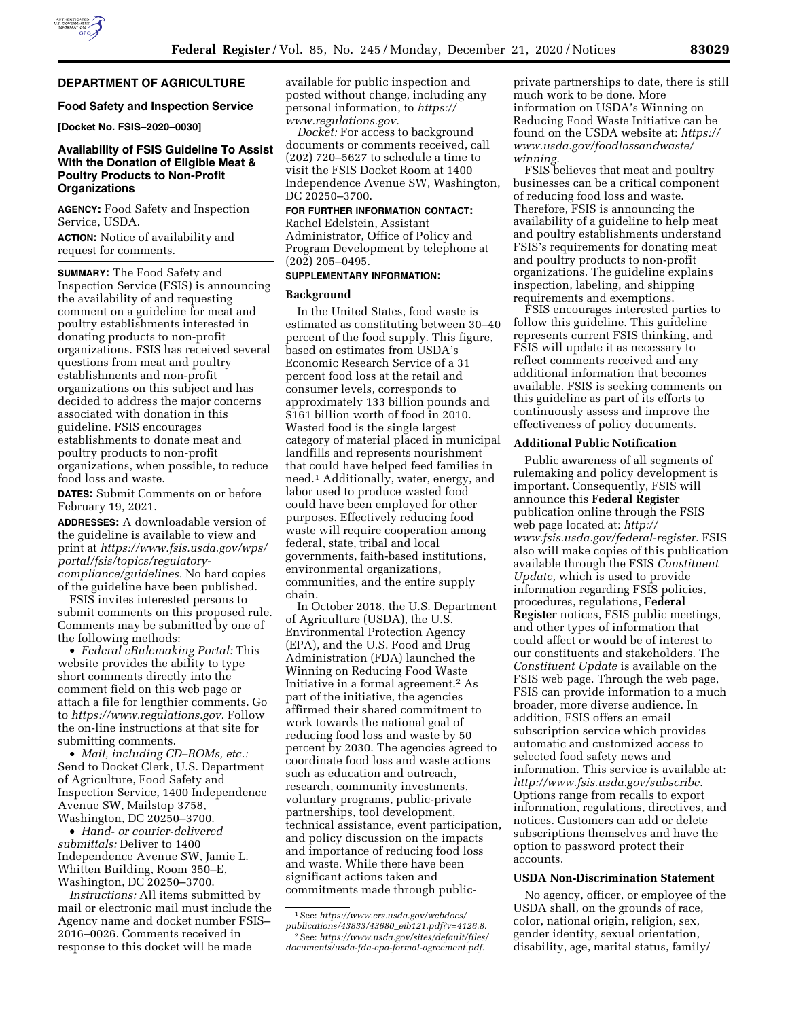

# **DEPARTMENT OF AGRICULTURE**

#### **Food Safety and Inspection Service**

**[Docket No. FSIS–2020–0030]** 

# **Availability of FSIS Guideline To Assist With the Donation of Eligible Meat & Poultry Products to Non-Profit Organizations**

**AGENCY:** Food Safety and Inspection Service, USDA.

**ACTION:** Notice of availability and request for comments.

**SUMMARY:** The Food Safety and Inspection Service (FSIS) is announcing the availability of and requesting comment on a guideline for meat and poultry establishments interested in donating products to non-profit organizations. FSIS has received several questions from meat and poultry establishments and non-profit organizations on this subject and has decided to address the major concerns associated with donation in this guideline. FSIS encourages establishments to donate meat and poultry products to non-profit organizations, when possible, to reduce food loss and waste.

**DATES:** Submit Comments on or before February 19, 2021.

**ADDRESSES:** A downloadable version of the guideline is available to view and print at *[https://www.fsis.usda.gov/wps/](https://www.fsis.usda.gov/wps/portal/fsis/topics/regulatory-compliance/guidelines)  [portal/fsis/topics/regulatory](https://www.fsis.usda.gov/wps/portal/fsis/topics/regulatory-compliance/guidelines)[compliance/guidelines.](https://www.fsis.usda.gov/wps/portal/fsis/topics/regulatory-compliance/guidelines)* No hard copies of the guideline have been published.

FSIS invites interested persons to submit comments on this proposed rule. Comments may be submitted by one of the following methods:

• *Federal eRulemaking Portal:* This website provides the ability to type short comments directly into the comment field on this web page or attach a file for lengthier comments. Go to *[https://www.regulations.gov.](https://www.regulations.gov)* Follow the on-line instructions at that site for submitting comments.

• *Mail, including CD–ROMs, etc.:*  Send to Docket Clerk, U.S. Department of Agriculture, Food Safety and Inspection Service, 1400 Independence Avenue SW, Mailstop 3758, Washington, DC 20250–3700.

• *Hand- or courier-delivered submittals:* Deliver to 1400 Independence Avenue SW, Jamie L. Whitten Building, Room 350–E, Washington, DC 20250–3700.

*Instructions:* All items submitted by mail or electronic mail must include the Agency name and docket number FSIS– 2016–0026. Comments received in response to this docket will be made

available for public inspection and posted without change, including any personal information, to *[https://](https://www.regulations.gov) [www.regulations.gov.](https://www.regulations.gov)* 

*Docket:* For access to background documents or comments received, call (202) 720–5627 to schedule a time to visit the FSIS Docket Room at 1400 Independence Avenue SW, Washington, DC 20250–3700.

**FOR FURTHER INFORMATION CONTACT:** 

Rachel Edelstein, Assistant Administrator, Office of Policy and Program Development by telephone at (202) 205–0495.

### **SUPPLEMENTARY INFORMATION:**

#### **Background**

In the United States, food waste is estimated as constituting between 30–40 percent of the food supply. This figure, based on estimates from USDA's Economic Research Service of a 31 percent food loss at the retail and consumer levels, corresponds to approximately 133 billion pounds and \$161 billion worth of food in 2010. Wasted food is the single largest category of material placed in municipal landfills and represents nourishment that could have helped feed families in need.1 Additionally, water, energy, and labor used to produce wasted food could have been employed for other purposes. Effectively reducing food waste will require cooperation among federal, state, tribal and local governments, faith-based institutions, environmental organizations, communities, and the entire supply chain.

In October 2018, the U.S. Department of Agriculture (USDA), the U.S. Environmental Protection Agency (EPA), and the U.S. Food and Drug Administration (FDA) launched the Winning on Reducing Food Waste Initiative in a formal agreement.2 As part of the initiative, the agencies affirmed their shared commitment to work towards the national goal of reducing food loss and waste by 50 percent by 2030. The agencies agreed to coordinate food loss and waste actions such as education and outreach, research, community investments, voluntary programs, public-private partnerships, tool development, technical assistance, event participation, and policy discussion on the impacts and importance of reducing food loss and waste. While there have been significant actions taken and commitments made through publicprivate partnerships to date, there is still much work to be done. More information on USDA's Winning on Reducing Food Waste Initiative can be found on the USDA website at: *[https://](https://www.usda.gov/foodlossandwaste/winning)  [www.usda.gov/foodlossandwaste/](https://www.usda.gov/foodlossandwaste/winning) [winning.](https://www.usda.gov/foodlossandwaste/winning)* 

FSIS believes that meat and poultry businesses can be a critical component of reducing food loss and waste. Therefore, FSIS is announcing the availability of a guideline to help meat and poultry establishments understand FSIS's requirements for donating meat and poultry products to non-profit organizations. The guideline explains inspection, labeling, and shipping requirements and exemptions.

FSIS encourages interested parties to follow this guideline. This guideline represents current FSIS thinking, and FSIS will update it as necessary to reflect comments received and any additional information that becomes available. FSIS is seeking comments on this guideline as part of its efforts to continuously assess and improve the effectiveness of policy documents.

#### **Additional Public Notification**

Public awareness of all segments of rulemaking and policy development is important. Consequently, FSIS will announce this **Federal Register**  publication online through the FSIS web page located at: *[http://](http://www.fsis.usda.gov/federal-register) [www.fsis.usda.gov/federal-register.](http://www.fsis.usda.gov/federal-register)* FSIS also will make copies of this publication available through the FSIS *Constituent Update,* which is used to provide information regarding FSIS policies, procedures, regulations, **Federal Register** notices, FSIS public meetings, and other types of information that could affect or would be of interest to our constituents and stakeholders. The *Constituent Update* is available on the FSIS web page. Through the web page, FSIS can provide information to a much broader, more diverse audience. In addition, FSIS offers an email subscription service which provides automatic and customized access to selected food safety news and information. This service is available at: *[http://www.fsis.usda.gov/subscribe.](http://www.fsis.usda.gov/subscribe)*  Options range from recalls to export information, regulations, directives, and notices. Customers can add or delete subscriptions themselves and have the option to password protect their accounts.

#### **USDA Non-Discrimination Statement**

No agency, officer, or employee of the USDA shall, on the grounds of race, color, national origin, religion, sex, gender identity, sexual orientation, disability, age, marital status, family/

<sup>1</sup>See: *[https://www.ers.usda.gov/webdocs/](https://www.ers.usda.gov/webdocs/publications/43833/43680_eib121.pdf?v=4126.8)  [publications/43833/43680](https://www.ers.usda.gov/webdocs/publications/43833/43680_eib121.pdf?v=4126.8)*\_*eib121.pdf?v=4126.8.*  2See: *[https://www.usda.gov/sites/default/files/](https://www.usda.gov/sites/default/files/documents/usda-fda-epa-formal-agreement.pdf)  [documents/usda-fda-epa-formal-agreement.pdf.](https://www.usda.gov/sites/default/files/documents/usda-fda-epa-formal-agreement.pdf)*